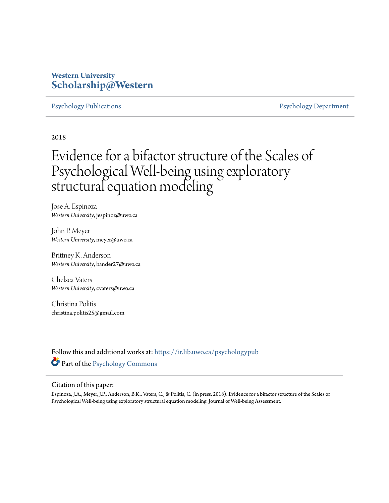# **Western University [Scholarship@Western](https://ir.lib.uwo.ca?utm_source=ir.lib.uwo.ca%2Fpsychologypub%2F139&utm_medium=PDF&utm_campaign=PDFCoverPages)**

[Psychology Publications](https://ir.lib.uwo.ca/psychologypub?utm_source=ir.lib.uwo.ca%2Fpsychologypub%2F139&utm_medium=PDF&utm_campaign=PDFCoverPages) **[Psychology Department](https://ir.lib.uwo.ca/psychology?utm_source=ir.lib.uwo.ca%2Fpsychologypub%2F139&utm_medium=PDF&utm_campaign=PDFCoverPages)** 

2018

# Evidence for a bifactor structure of the Scales of Psychological Well-being using exploratory structural equation modeling

Jose A. Espinoza *Western University*, jespinoz@uwo.ca

John P. Meyer *Western University*, meyer@uwo.ca

Brittney K. Anderson *Western University*, bander27@uwo.ca

Chelsea Vaters *Western University*, cvaters@uwo.ca

Christina Politis christina.politis25@gmail.com

Follow this and additional works at: [https://ir.lib.uwo.ca/psychologypub](https://ir.lib.uwo.ca/psychologypub?utm_source=ir.lib.uwo.ca%2Fpsychologypub%2F139&utm_medium=PDF&utm_campaign=PDFCoverPages) Part of the [Psychology Commons](http://network.bepress.com/hgg/discipline/404?utm_source=ir.lib.uwo.ca%2Fpsychologypub%2F139&utm_medium=PDF&utm_campaign=PDFCoverPages)

#### Citation of this paper:

Espinoza, J.A., Meyer, J.P., Anderson, B.K., Vaters, C., & Politis, C. (in press, 2018). Evidence for a bifactor structure of the Scales of Psychological Well-being using exploratory structural equation modeling. Journal of Well-being Assessment.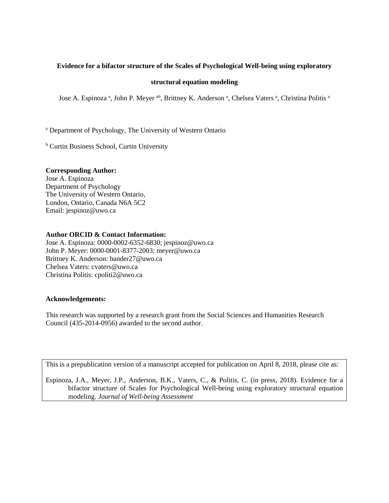# **Evidence for a bifactor structure of the Scales of Psychological Well-being using exploratory**

## **structural equation modeling**

Jose A. Espinoza<sup>a</sup>, John P. Meyer <sup>ab</sup>, Brittney K. Anderson<sup>a</sup>, Chelsea Vaters<sup>a</sup>, Christina Politis<sup>a</sup>

<sup>a</sup> Department of Psychology, The University of Western Ontario

**b** Curtin Business School, Curtin University

#### **Corresponding Author:**

Jose A. Espinoza Department of Psychology The University of Western Ontario, London, Ontario, Canada N6A 5C2 Email: jespinoz@uwo.ca

#### **Author ORCID & Contact Information:**

Jose A. Espinoza: 0000-0002-6352-6830; jespinoz@uwo.ca John P. Meyer: 0000-0001-8377-2003; meyer@uwo.ca Brittney K. Anderson: bander27@uwo.ca Chelsea Vaters: cvaters@uwo.ca Christina Politis: cpoliti2@uwo.ca

## **Acknowledgements:**

This research was supported by a research grant from the Social Sciences and Humanities Research Council (435-2014-0956) awarded to the second author.

This is a prepublication version of a manuscript accepted for publication on April 8, 2018, please cite as:

Espinoza, J.A., Meyer, J.P., Anderson, B.K., Vaters, C., & Politis, C. (in press, 2018). Evidence for a bifactor structure of Scales for Psychological Well-being using exploratory structural equation modeling. *Journal of Well-being Assessment*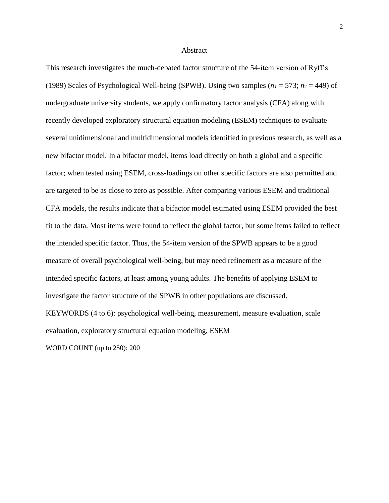#### **Abstract**

This research investigates the much-debated factor structure of the 54-item version of Ryff's (1989) Scales of Psychological Well-being (SPWB). Using two samples  $(n_1 = 573; n_2 = 449)$  of undergraduate university students, we apply confirmatory factor analysis (CFA) along with recently developed exploratory structural equation modeling (ESEM) techniques to evaluate several unidimensional and multidimensional models identified in previous research, as well as a new bifactor model. In a bifactor model, items load directly on both a global and a specific factor; when tested using ESEM, cross-loadings on other specific factors are also permitted and are targeted to be as close to zero as possible. After comparing various ESEM and traditional CFA models, the results indicate that a bifactor model estimated using ESEM provided the best fit to the data. Most items were found to reflect the global factor, but some items failed to reflect the intended specific factor. Thus, the 54-item version of the SPWB appears to be a good measure of overall psychological well-being, but may need refinement as a measure of the intended specific factors, at least among young adults. The benefits of applying ESEM to investigate the factor structure of the SPWB in other populations are discussed. KEYWORDS (4 to 6): psychological well-being, measurement, measure evaluation, scale evaluation, exploratory structural equation modeling, ESEM

WORD COUNT (up to 250): 200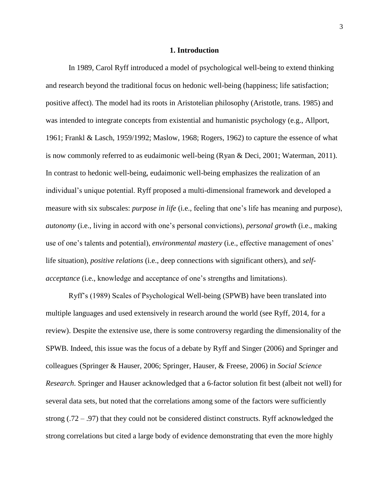#### **1. Introduction**

In 1989, Carol Ryff introduced a model of psychological well-being to extend thinking and research beyond the traditional focus on hedonic well-being (happiness; life satisfaction; positive affect). The model had its roots in Aristotelian philosophy (Aristotle, trans. 1985) and was intended to integrate concepts from existential and humanistic psychology (e.g., Allport, 1961; Frankl & Lasch, 1959/1992; Maslow, 1968; Rogers, 1962) to capture the essence of what is now commonly referred to as eudaimonic well-being (Ryan & Deci, 2001; Waterman, 2011). In contrast to hedonic well-being, eudaimonic well-being emphasizes the realization of an individual's unique potential. Ryff proposed a multi-dimensional framework and developed a measure with six subscales: *purpose in life* (i.e., feeling that one's life has meaning and purpose), *autonomy* (i.e., living in accord with one's personal convictions), *personal growth* (i.e., making use of one's talents and potential), *environmental mastery* (i.e., effective management of ones' life situation), *positive relations* (i.e., deep connections with significant others), and *selfacceptance* (i.e., knowledge and acceptance of one's strengths and limitations).

Ryff's (1989) Scales of Psychological Well-being (SPWB) have been translated into multiple languages and used extensively in research around the world (see Ryff, 2014, for a review). Despite the extensive use, there is some controversy regarding the dimensionality of the SPWB. Indeed, this issue was the focus of a debate by Ryff and Singer (2006) and Springer and colleagues (Springer & Hauser, 2006; Springer, Hauser, & Freese, 2006) in *Social Science Research*. Springer and Hauser acknowledged that a 6-factor solution fit best (albeit not well) for several data sets, but noted that the correlations among some of the factors were sufficiently strong (.72 – .97) that they could not be considered distinct constructs. Ryff acknowledged the strong correlations but cited a large body of evidence demonstrating that even the more highly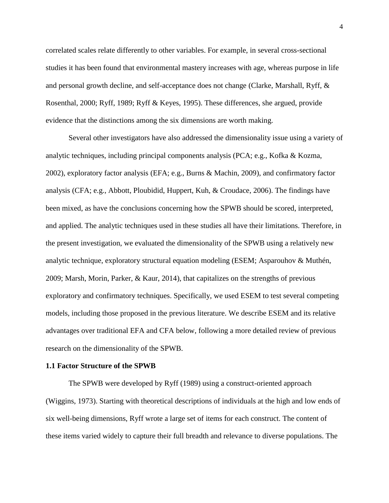correlated scales relate differently to other variables. For example, in several cross-sectional studies it has been found that environmental mastery increases with age, whereas purpose in life and personal growth decline, and self-acceptance does not change (Clarke, Marshall, Ryff, & Rosenthal, 2000; Ryff, 1989; Ryff & Keyes, 1995). These differences, she argued, provide evidence that the distinctions among the six dimensions are worth making.

Several other investigators have also addressed the dimensionality issue using a variety of analytic techniques, including principal components analysis (PCA; e.g., Kofka & Kozma, 2002), exploratory factor analysis (EFA; e.g., Burns & Machin, 2009), and confirmatory factor analysis (CFA; e.g., Abbott, Ploubidid, Huppert, Kuh, & Croudace, 2006). The findings have been mixed, as have the conclusions concerning how the SPWB should be scored, interpreted, and applied. The analytic techniques used in these studies all have their limitations. Therefore, in the present investigation, we evaluated the dimensionality of the SPWB using a relatively new analytic technique, exploratory structural equation modeling (ESEM; Asparouhov & Muthén, 2009; Marsh, Morin, Parker, & Kaur, 2014), that capitalizes on the strengths of previous exploratory and confirmatory techniques. Specifically, we used ESEM to test several competing models, including those proposed in the previous literature. We describe ESEM and its relative advantages over traditional EFA and CFA below, following a more detailed review of previous research on the dimensionality of the SPWB.

#### **1.1 Factor Structure of the SPWB**

The SPWB were developed by Ryff (1989) using a construct-oriented approach (Wiggins, 1973). Starting with theoretical descriptions of individuals at the high and low ends of six well-being dimensions, Ryff wrote a large set of items for each construct. The content of these items varied widely to capture their full breadth and relevance to diverse populations. The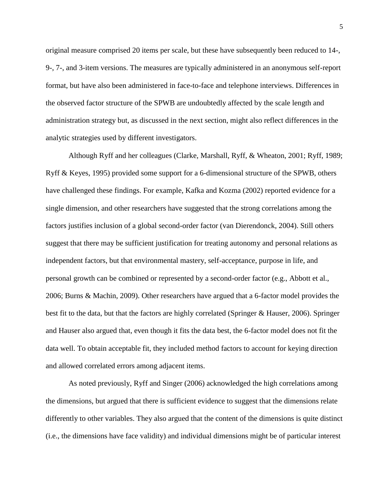original measure comprised 20 items per scale, but these have subsequently been reduced to 14-, 9-, 7-, and 3-item versions. The measures are typically administered in an anonymous self-report format, but have also been administered in face-to-face and telephone interviews. Differences in the observed factor structure of the SPWB are undoubtedly affected by the scale length and administration strategy but, as discussed in the next section, might also reflect differences in the analytic strategies used by different investigators.

Although Ryff and her colleagues (Clarke, Marshall, Ryff, & Wheaton, 2001; Ryff, 1989; Ryff & Keyes, 1995) provided some support for a 6-dimensional structure of the SPWB, others have challenged these findings. For example, Kafka and Kozma (2002) reported evidence for a single dimension, and other researchers have suggested that the strong correlations among the factors justifies inclusion of a global second-order factor (van Dierendonck, 2004). Still others suggest that there may be sufficient justification for treating autonomy and personal relations as independent factors, but that environmental mastery, self-acceptance, purpose in life, and personal growth can be combined or represented by a second-order factor (e.g., Abbott et al., 2006; Burns & Machin, 2009). Other researchers have argued that a 6-factor model provides the best fit to the data, but that the factors are highly correlated (Springer & Hauser, 2006). Springer and Hauser also argued that, even though it fits the data best, the 6-factor model does not fit the data well. To obtain acceptable fit, they included method factors to account for keying direction and allowed correlated errors among adjacent items.

As noted previously, Ryff and Singer (2006) acknowledged the high correlations among the dimensions, but argued that there is sufficient evidence to suggest that the dimensions relate differently to other variables. They also argued that the content of the dimensions is quite distinct (i.e., the dimensions have face validity) and individual dimensions might be of particular interest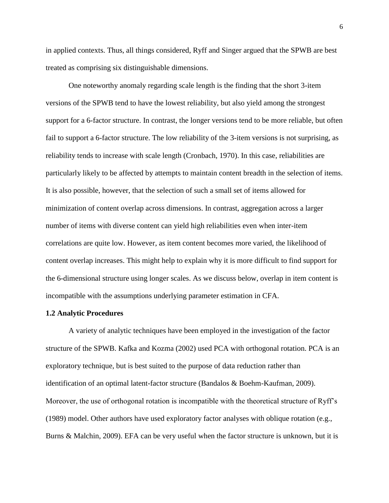in applied contexts. Thus, all things considered, Ryff and Singer argued that the SPWB are best treated as comprising six distinguishable dimensions.

One noteworthy anomaly regarding scale length is the finding that the short 3-item versions of the SPWB tend to have the lowest reliability, but also yield among the strongest support for a 6-factor structure. In contrast, the longer versions tend to be more reliable, but often fail to support a 6-factor structure. The low reliability of the 3-item versions is not surprising, as reliability tends to increase with scale length (Cronbach, 1970). In this case, reliabilities are particularly likely to be affected by attempts to maintain content breadth in the selection of items. It is also possible, however, that the selection of such a small set of items allowed for minimization of content overlap across dimensions. In contrast, aggregation across a larger number of items with diverse content can yield high reliabilities even when inter-item correlations are quite low. However, as item content becomes more varied, the likelihood of content overlap increases. This might help to explain why it is more difficult to find support for the 6-dimensional structure using longer scales. As we discuss below, overlap in item content is incompatible with the assumptions underlying parameter estimation in CFA.

#### **1.2 Analytic Procedures**

A variety of analytic techniques have been employed in the investigation of the factor structure of the SPWB. Kafka and Kozma (2002) used PCA with orthogonal rotation. PCA is an exploratory technique, but is best suited to the purpose of data reduction rather than identification of an optimal latent-factor structure (Bandalos & Boehm-Kaufman, 2009). Moreover, the use of orthogonal rotation is incompatible with the theoretical structure of Ryff's (1989) model. Other authors have used exploratory factor analyses with oblique rotation (e.g., Burns & Malchin, 2009). EFA can be very useful when the factor structure is unknown, but it is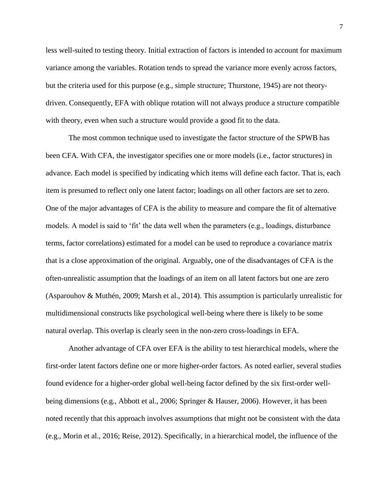less well-suited to testing theory. Initial extraction of factors is intended to account for maximum variance among the variables. Rotation tends to spread the variance more evenly across factors, but the criteria used for this purpose (e.g., simple structure; Thurstone, 1945) are not theorydriven. Consequently, EFA with oblique rotation will not always produce a structure compatible with theory, even when such a structure would provide a good fit to the data.

The most common technique used to investigate the factor structure of the SPWB has been CFA. With CFA, the investigator specifies one or more models (i.e., factor structures) in advance. Each model is specified by indicating which items will define each factor. That is, each item is presumed to reflect only one latent factor; loadings on all other factors are set to zero. One of the major advantages of CFA is the ability to measure and compare the fit of alternative models. A model is said to 'fit' the data well when the parameters (e.g., loadings, disturbance terms, factor correlations) estimated for a model can be used to reproduce a covariance matrix that is a close approximation of the original. Arguably, one of the disadvantages of CFA is the often-unrealistic assumption that the loadings of an item on all latent factors but one are zero (Asparouhov & Muthén, 2009; Marsh et al., 2014). This assumption is particularly unrealistic for multidimensional constructs like psychological well-being where there is likely to be some natural overlap. This overlap is clearly seen in the non-zero cross-loadings in EFA.

Another advantage of CFA over EFA is the ability to test hierarchical models, where the first-order latent factors define one or more higher-order factors. As noted earlier, several studies found evidence for a higher-order global well-being factor defined by the six first-order wellbeing dimensions (e.g., Abbott et al., 2006; Springer & Hauser, 2006). However, it has been noted recently that this approach involves assumptions that might not be consistent with the data (e.g., Morin et al., 2016; Reise, 2012). Specifically, in a hierarchical model, the influence of the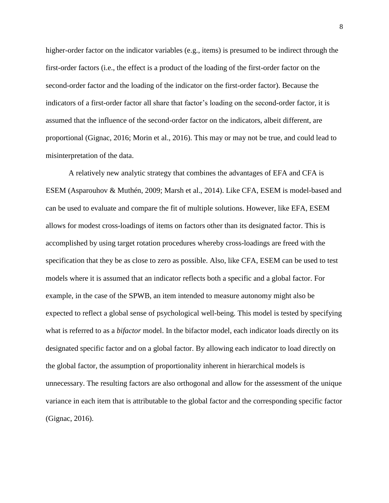higher-order factor on the indicator variables (e.g., items) is presumed to be indirect through the first-order factors (i.e., the effect is a product of the loading of the first-order factor on the second-order factor and the loading of the indicator on the first-order factor). Because the indicators of a first-order factor all share that factor's loading on the second-order factor, it is assumed that the influence of the second-order factor on the indicators, albeit different, are proportional (Gignac, 2016; Morin et al., 2016). This may or may not be true, and could lead to misinterpretation of the data.

A relatively new analytic strategy that combines the advantages of EFA and CFA is ESEM (Asparouhov & Muthén, 2009; Marsh et al., 2014). Like CFA, ESEM is model-based and can be used to evaluate and compare the fit of multiple solutions. However, like EFA, ESEM allows for modest cross-loadings of items on factors other than its designated factor. This is accomplished by using target rotation procedures whereby cross-loadings are freed with the specification that they be as close to zero as possible. Also, like CFA, ESEM can be used to test models where it is assumed that an indicator reflects both a specific and a global factor. For example, in the case of the SPWB, an item intended to measure autonomy might also be expected to reflect a global sense of psychological well-being. This model is tested by specifying what is referred to as a *bifactor* model. In the bifactor model, each indicator loads directly on its designated specific factor and on a global factor. By allowing each indicator to load directly on the global factor, the assumption of proportionality inherent in hierarchical models is unnecessary. The resulting factors are also orthogonal and allow for the assessment of the unique variance in each item that is attributable to the global factor and the corresponding specific factor (Gignac, 2016).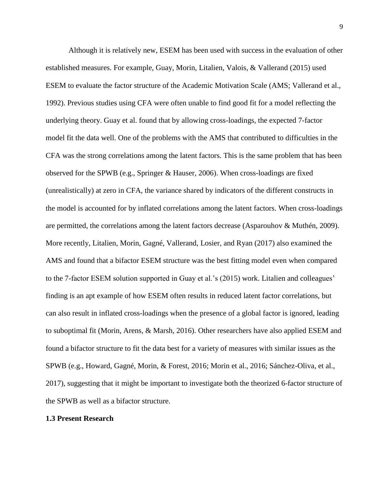Although it is relatively new, ESEM has been used with success in the evaluation of other established measures. For example, Guay, Morin, Litalien, Valois, & Vallerand (2015) used ESEM to evaluate the factor structure of the Academic Motivation Scale (AMS; Vallerand et al., 1992). Previous studies using CFA were often unable to find good fit for a model reflecting the underlying theory. Guay et al. found that by allowing cross-loadings, the expected 7-factor model fit the data well. One of the problems with the AMS that contributed to difficulties in the CFA was the strong correlations among the latent factors. This is the same problem that has been observed for the SPWB (e.g., Springer & Hauser, 2006). When cross-loadings are fixed (unrealistically) at zero in CFA, the variance shared by indicators of the different constructs in the model is accounted for by inflated correlations among the latent factors. When cross-loadings are permitted, the correlations among the latent factors decrease (Asparouhov & Muthén, 2009). More recently, Litalien, Morin, Gagné, Vallerand, Losier, and Ryan (2017) also examined the AMS and found that a bifactor ESEM structure was the best fitting model even when compared to the 7-factor ESEM solution supported in Guay et al.'s (2015) work. Litalien and colleagues' finding is an apt example of how ESEM often results in reduced latent factor correlations, but can also result in inflated cross-loadings when the presence of a global factor is ignored, leading to suboptimal fit (Morin, Arens, & Marsh, 2016). Other researchers have also applied ESEM and found a bifactor structure to fit the data best for a variety of measures with similar issues as the SPWB (e.g., Howard, Gagné, Morin, & Forest, 2016; Morin et al., 2016; Sánchez-Oliva, et al., 2017), suggesting that it might be important to investigate both the theorized 6-factor structure of the SPWB as well as a bifactor structure.

# **1.3 Present Research**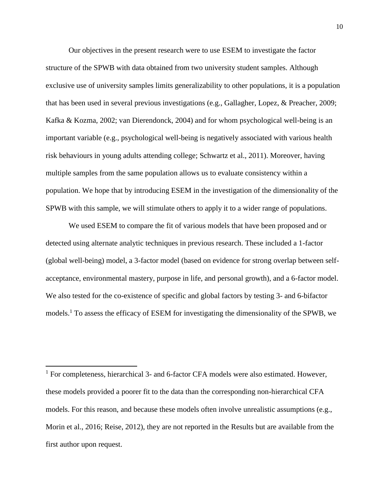Our objectives in the present research were to use ESEM to investigate the factor structure of the SPWB with data obtained from two university student samples. Although exclusive use of university samples limits generalizability to other populations, it is a population that has been used in several previous investigations (e.g., Gallagher, Lopez, & Preacher, 2009; Kafka & Kozma, 2002; van Dierendonck, 2004) and for whom psychological well-being is an important variable (e.g., psychological well-being is negatively associated with various health risk behaviours in young adults attending college; Schwartz et al., 2011). Moreover, having multiple samples from the same population allows us to evaluate consistency within a population. We hope that by introducing ESEM in the investigation of the dimensionality of the SPWB with this sample, we will stimulate others to apply it to a wider range of populations.

We used ESEM to compare the fit of various models that have been proposed and or detected using alternate analytic techniques in previous research. These included a 1-factor (global well-being) model, a 3-factor model (based on evidence for strong overlap between selfacceptance, environmental mastery, purpose in life, and personal growth), and a 6-factor model. We also tested for the co-existence of specific and global factors by testing 3- and 6-bifactor models.<sup>1</sup> To assess the efficacy of ESEM for investigating the dimensionality of the SPWB, we

<sup>1</sup> For completeness, hierarchical 3- and 6-factor CFA models were also estimated. However, these models provided a poorer fit to the data than the corresponding non-hierarchical CFA models. For this reason, and because these models often involve unrealistic assumptions (e.g., Morin et al., 2016; Reise, 2012), they are not reported in the Results but are available from the first author upon request.

 $\overline{\phantom{a}}$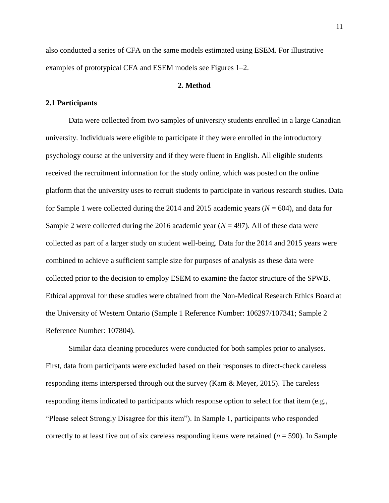also conducted a series of CFA on the same models estimated using ESEM. For illustrative examples of prototypical CFA and ESEM models see Figures 1–2.

## **2. Method**

#### **2.1 Participants**

Data were collected from two samples of university students enrolled in a large Canadian university. Individuals were eligible to participate if they were enrolled in the introductory psychology course at the university and if they were fluent in English. All eligible students received the recruitment information for the study online, which was posted on the online platform that the university uses to recruit students to participate in various research studies. Data for Sample 1 were collected during the 2014 and 2015 academic years  $(N = 604)$ , and data for Sample 2 were collected during the 2016 academic year  $(N = 497)$ . All of these data were collected as part of a larger study on student well-being. Data for the 2014 and 2015 years were combined to achieve a sufficient sample size for purposes of analysis as these data were collected prior to the decision to employ ESEM to examine the factor structure of the SPWB. Ethical approval for these studies were obtained from the Non-Medical Research Ethics Board at the University of Western Ontario (Sample 1 Reference Number: 106297/107341; Sample 2 Reference Number: 107804).

Similar data cleaning procedures were conducted for both samples prior to analyses. First, data from participants were excluded based on their responses to direct-check careless responding items interspersed through out the survey (Kam & Meyer, 2015). The careless responding items indicated to participants which response option to select for that item (e.g., "Please select Strongly Disagree for this item"). In Sample 1, participants who responded correctly to at least five out of six careless responding items were retained (*n* = 590). In Sample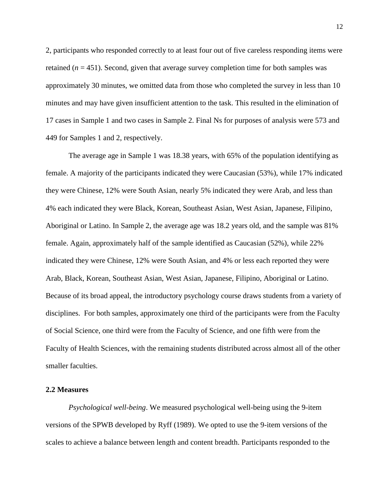2, participants who responded correctly to at least four out of five careless responding items were retained  $(n = 451)$ . Second, given that average survey completion time for both samples was approximately 30 minutes, we omitted data from those who completed the survey in less than 10 minutes and may have given insufficient attention to the task. This resulted in the elimination of 17 cases in Sample 1 and two cases in Sample 2. Final Ns for purposes of analysis were 573 and 449 for Samples 1 and 2, respectively.

The average age in Sample 1 was 18.38 years, with 65% of the population identifying as female. A majority of the participants indicated they were Caucasian (53%), while 17% indicated they were Chinese, 12% were South Asian, nearly 5% indicated they were Arab, and less than 4% each indicated they were Black, Korean, Southeast Asian, West Asian, Japanese, Filipino, Aboriginal or Latino. In Sample 2, the average age was 18.2 years old, and the sample was 81% female. Again, approximately half of the sample identified as Caucasian (52%), while 22% indicated they were Chinese, 12% were South Asian, and 4% or less each reported they were Arab, Black, Korean, Southeast Asian, West Asian, Japanese, Filipino, Aboriginal or Latino. Because of its broad appeal, the introductory psychology course draws students from a variety of disciplines. For both samples, approximately one third of the participants were from the Faculty of Social Science, one third were from the Faculty of Science, and one fifth were from the Faculty of Health Sciences, with the remaining students distributed across almost all of the other smaller faculties.

#### **2.2 Measures**

*Psychological well-being*. We measured psychological well-being using the 9-item versions of the SPWB developed by Ryff (1989). We opted to use the 9-item versions of the scales to achieve a balance between length and content breadth. Participants responded to the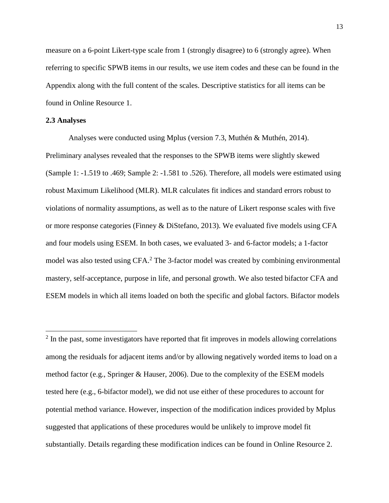measure on a 6-point Likert-type scale from 1 (strongly disagree) to 6 (strongly agree). When referring to specific SPWB items in our results, we use item codes and these can be found in the Appendix along with the full content of the scales. Descriptive statistics for all items can be found in Online Resource 1.

# **2.3 Analyses**

l

Analyses were conducted using Mplus (version 7.3, Muthén & Muthén, 2014). Preliminary analyses revealed that the responses to the SPWB items were slightly skewed (Sample 1: -1.519 to .469; Sample 2: -1.581 to .526). Therefore, all models were estimated using robust Maximum Likelihood (MLR). MLR calculates fit indices and standard errors robust to violations of normality assumptions, as well as to the nature of Likert response scales with five or more response categories (Finney & DiStefano, 2013). We evaluated five models using CFA and four models using ESEM. In both cases, we evaluated 3- and 6-factor models; a 1-factor model was also tested using CFA.<sup>2</sup> The 3-factor model was created by combining environmental mastery, self-acceptance, purpose in life, and personal growth. We also tested bifactor CFA and ESEM models in which all items loaded on both the specific and global factors. Bifactor models

 $2$  In the past, some investigators have reported that fit improves in models allowing correlations among the residuals for adjacent items and/or by allowing negatively worded items to load on a method factor (e.g., Springer & Hauser, 2006). Due to the complexity of the ESEM models tested here (e.g., 6-bifactor model), we did not use either of these procedures to account for potential method variance. However, inspection of the modification indices provided by Mplus suggested that applications of these procedures would be unlikely to improve model fit substantially. Details regarding these modification indices can be found in Online Resource 2.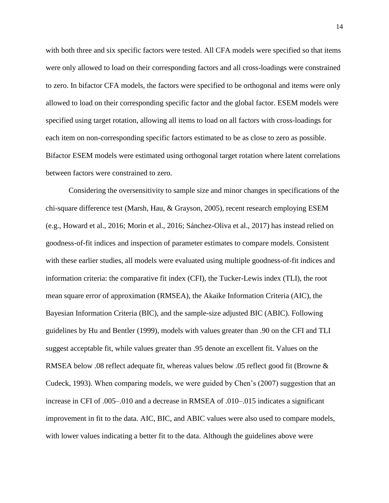with both three and six specific factors were tested. All CFA models were specified so that items were only allowed to load on their corresponding factors and all cross-loadings were constrained to zero. In bifactor CFA models, the factors were specified to be orthogonal and items were only allowed to load on their corresponding specific factor and the global factor. ESEM models were specified using target rotation, allowing all items to load on all factors with cross-loadings for each item on non-corresponding specific factors estimated to be as close to zero as possible. Bifactor ESEM models were estimated using orthogonal target rotation where latent correlations between factors were constrained to zero.

Considering the oversensitivity to sample size and minor changes in specifications of the chi-square difference test (Marsh, Hau, & Grayson, 2005), recent research employing ESEM (e.g., Howard et al., 2016; Morin et al., 2016; Sánchez-Oliva et al., 2017) has instead relied on goodness-of-fit indices and inspection of parameter estimates to compare models. Consistent with these earlier studies, all models were evaluated using multiple goodness-of-fit indices and information criteria: the comparative fit index (CFI), the Tucker-Lewis index (TLI), the root mean square error of approximation (RMSEA), the Akaike Information Criteria (AIC), the Bayesian Information Criteria (BIC), and the sample-size adjusted BIC (ABIC). Following guidelines by Hu and Bentler (1999), models with values greater than .90 on the CFI and TLI suggest acceptable fit, while values greater than .95 denote an excellent fit. Values on the RMSEA below .08 reflect adequate fit, whereas values below .05 reflect good fit (Browne & Cudeck, 1993). When comparing models, we were guided by Chen's (2007) suggestion that an increase in CFI of .005–.010 and a decrease in RMSEA of .010–.015 indicates a significant improvement in fit to the data. AIC, BIC, and ABIC values were also used to compare models, with lower values indicating a better fit to the data. Although the guidelines above were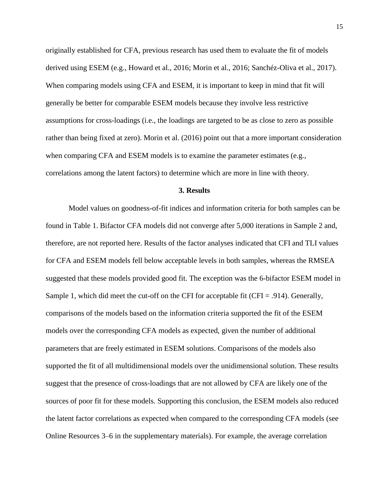originally established for CFA, previous research has used them to evaluate the fit of models derived using ESEM (e.g., Howard et al., 2016; Morin et al., 2016; Sanchéz-Oliva et al., 2017). When comparing models using CFA and ESEM, it is important to keep in mind that fit will generally be better for comparable ESEM models because they involve less restrictive assumptions for cross-loadings (i.e., the loadings are targeted to be as close to zero as possible rather than being fixed at zero). Morin et al. (2016) point out that a more important consideration when comparing CFA and ESEM models is to examine the parameter estimates (e.g., correlations among the latent factors) to determine which are more in line with theory.

#### **3. Results**

Model values on goodness-of-fit indices and information criteria for both samples can be found in Table 1. Bifactor CFA models did not converge after 5,000 iterations in Sample 2 and, therefore, are not reported here. Results of the factor analyses indicated that CFI and TLI values for CFA and ESEM models fell below acceptable levels in both samples, whereas the RMSEA suggested that these models provided good fit. The exception was the 6-bifactor ESEM model in Sample 1, which did meet the cut-off on the CFI for acceptable fit (CFI = .914). Generally, comparisons of the models based on the information criteria supported the fit of the ESEM models over the corresponding CFA models as expected, given the number of additional parameters that are freely estimated in ESEM solutions. Comparisons of the models also supported the fit of all multidimensional models over the unidimensional solution. These results suggest that the presence of cross-loadings that are not allowed by CFA are likely one of the sources of poor fit for these models. Supporting this conclusion, the ESEM models also reduced the latent factor correlations as expected when compared to the corresponding CFA models (see Online Resources 3–6 in the supplementary materials). For example, the average correlation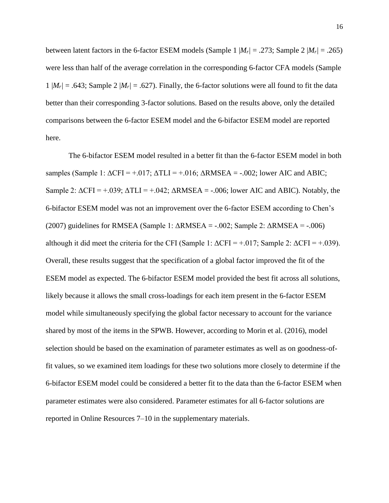between latent factors in the 6-factor ESEM models (Sample 1  $|M_r| = .273$ ; Sample 2  $|M_r| = .265$ ) were less than half of the average correlation in the corresponding 6-factor CFA models (Sample 1  $|M_r| = .643$ ; Sample 2  $|M_r| = .627$ ). Finally, the 6-factor solutions were all found to fit the data better than their corresponding 3-factor solutions. Based on the results above, only the detailed comparisons between the 6-factor ESEM model and the 6-bifactor ESEM model are reported here.

The 6-bifactor ESEM model resulted in a better fit than the 6-factor ESEM model in both samples (Sample 1:  $\Delta$ CFI = +.017;  $\Delta$ TLI = +.016;  $\Delta$ RMSEA = -.002; lower AIC and ABIC; Sample 2:  $\Delta$ CFI = +.039;  $\Delta$ TLI = +.042;  $\Delta$ RMSEA = -.006; lower AIC and ABIC). Notably, the 6-bifactor ESEM model was not an improvement over the 6-factor ESEM according to Chen's (2007) guidelines for RMSEA (Sample 1:  $\triangle$ RMSEA = -.002; Sample 2:  $\triangle$ RMSEA = -.006) although it did meet the criteria for the CFI (Sample 1:  $\Delta$ CFI = +.017; Sample 2:  $\Delta$ CFI = +.039). Overall, these results suggest that the specification of a global factor improved the fit of the ESEM model as expected. The 6-bifactor ESEM model provided the best fit across all solutions, likely because it allows the small cross-loadings for each item present in the 6-factor ESEM model while simultaneously specifying the global factor necessary to account for the variance shared by most of the items in the SPWB. However, according to Morin et al. (2016), model selection should be based on the examination of parameter estimates as well as on goodness-offit values, so we examined item loadings for these two solutions more closely to determine if the 6-bifactor ESEM model could be considered a better fit to the data than the 6-factor ESEM when parameter estimates were also considered. Parameter estimates for all 6-factor solutions are reported in Online Resources 7–10 in the supplementary materials.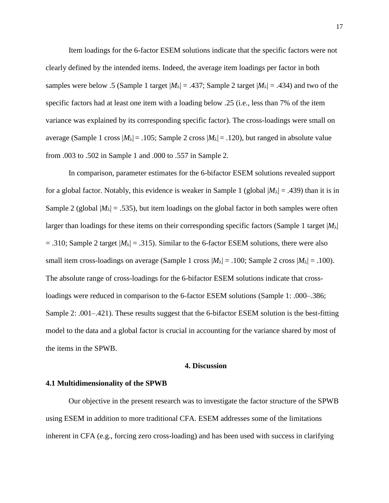Item loadings for the 6-factor ESEM solutions indicate that the specific factors were not clearly defined by the intended items. Indeed, the average item loadings per factor in both samples were below .5 (Sample 1 target  $|M_{\lambda}| = .437$ ; Sample 2 target  $|M_{\lambda}| = .434$ ) and two of the specific factors had at least one item with a loading below .25 (i.e., less than 7% of the item variance was explained by its corresponding specific factor). The cross-loadings were small on average (Sample 1 cross  $|M_{\lambda}| = .105$ ; Sample 2 cross  $|M_{\lambda}| = .120$ ), but ranged in absolute value from .003 to .502 in Sample 1 and .000 to .557 in Sample 2.

In comparison, parameter estimates for the 6-bifactor ESEM solutions revealed support for a global factor. Notably, this evidence is weaker in Sample 1 (global  $|M_\lambda| = .439$ ) than it is in Sample 2 (global  $|M_\lambda| = .535$ ), but item loadings on the global factor in both samples were often larger than loadings for these items on their corresponding specific factors (Sample 1 target |*M*λ|  $= .310$ ; Sample 2 target  $|M_{\lambda}| = .315$ ). Similar to the 6-factor ESEM solutions, there were also small item cross-loadings on average (Sample 1 cross  $|M_{\lambda}| = .100$ ; Sample 2 cross  $|M_{\lambda}| = .100$ ). The absolute range of cross-loadings for the 6-bifactor ESEM solutions indicate that crossloadings were reduced in comparison to the 6-factor ESEM solutions (Sample 1: .000–.386; Sample 2: .001–.421). These results suggest that the 6-bifactor ESEM solution is the best-fitting model to the data and a global factor is crucial in accounting for the variance shared by most of the items in the SPWB.

#### **4. Discussion**

#### **4.1 Multidimensionality of the SPWB**

Our objective in the present research was to investigate the factor structure of the SPWB using ESEM in addition to more traditional CFA. ESEM addresses some of the limitations inherent in CFA (e.g., forcing zero cross-loading) and has been used with success in clarifying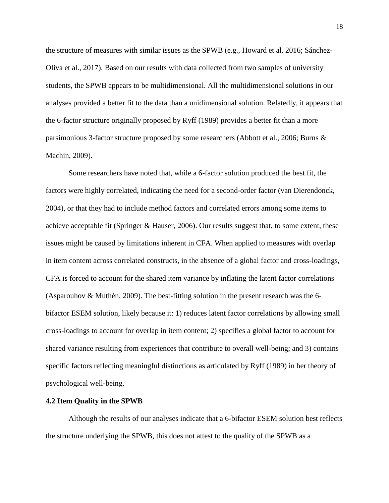the structure of measures with similar issues as the SPWB (e.g., Howard et al. 2016; Sánchez-Oliva et al., 2017). Based on our results with data collected from two samples of university students, the SPWB appears to be multidimensional. All the multidimensional solutions in our analyses provided a better fit to the data than a unidimensional solution. Relatedly, it appears that the 6-factor structure originally proposed by Ryff (1989) provides a better fit than a more parsimonious 3-factor structure proposed by some researchers (Abbott et al., 2006; Burns & Machin, 2009).

Some researchers have noted that, while a 6-factor solution produced the best fit, the factors were highly correlated, indicating the need for a second-order factor (van Dierendonck, 2004), or that they had to include method factors and correlated errors among some items to achieve acceptable fit (Springer & Hauser, 2006). Our results suggest that, to some extent, these issues might be caused by limitations inherent in CFA. When applied to measures with overlap in item content across correlated constructs, in the absence of a global factor and cross-loadings, CFA is forced to account for the shared item variance by inflating the latent factor correlations (Asparouhov & Muthén, 2009). The best-fitting solution in the present research was the 6 bifactor ESEM solution, likely because it: 1) reduces latent factor correlations by allowing small cross-loadings to account for overlap in item content; 2) specifies a global factor to account for shared variance resulting from experiences that contribute to overall well-being; and 3) contains specific factors reflecting meaningful distinctions as articulated by Ryff (1989) in her theory of psychological well-being.

#### **4.2 Item Quality in the SPWB**

Although the results of our analyses indicate that a 6-bifactor ESEM solution best reflects the structure underlying the SPWB, this does not attest to the quality of the SPWB as a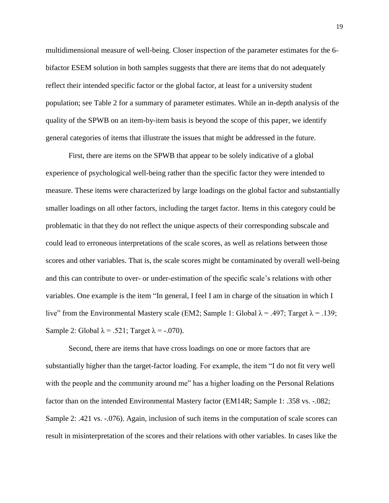multidimensional measure of well-being. Closer inspection of the parameter estimates for the 6 bifactor ESEM solution in both samples suggests that there are items that do not adequately reflect their intended specific factor or the global factor, at least for a university student population; see Table 2 for a summary of parameter estimates. While an in-depth analysis of the quality of the SPWB on an item-by-item basis is beyond the scope of this paper, we identify general categories of items that illustrate the issues that might be addressed in the future.

First, there are items on the SPWB that appear to be solely indicative of a global experience of psychological well-being rather than the specific factor they were intended to measure. These items were characterized by large loadings on the global factor and substantially smaller loadings on all other factors, including the target factor. Items in this category could be problematic in that they do not reflect the unique aspects of their corresponding subscale and could lead to erroneous interpretations of the scale scores, as well as relations between those scores and other variables. That is, the scale scores might be contaminated by overall well-being and this can contribute to over- or under-estimation of the specific scale's relations with other variables. One example is the item "In general, I feel I am in charge of the situation in which I live" from the Environmental Mastery scale (EM2; Sample 1: Global  $\lambda = .497$ ; Target  $\lambda = .139$ ; Sample 2: Global  $\lambda = .521$ ; Target  $\lambda = .070$ ).

Second, there are items that have cross loadings on one or more factors that are substantially higher than the target-factor loading. For example, the item "I do not fit very well with the people and the community around me" has a higher loading on the Personal Relations factor than on the intended Environmental Mastery factor (EM14R; Sample 1: .358 vs. -.082; Sample 2: .421 vs. -.076). Again, inclusion of such items in the computation of scale scores can result in misinterpretation of the scores and their relations with other variables. In cases like the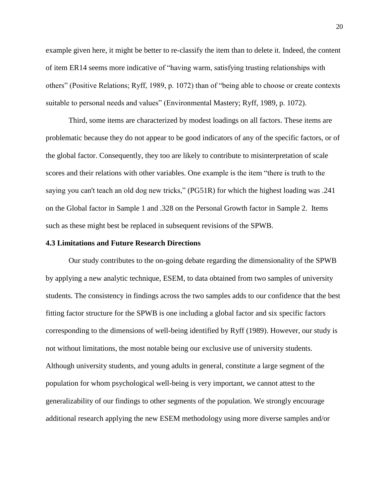example given here, it might be better to re-classify the item than to delete it. Indeed, the content of item ER14 seems more indicative of "having warm, satisfying trusting relationships with others" (Positive Relations; Ryff, 1989, p. 1072) than of "being able to choose or create contexts suitable to personal needs and values" (Environmental Mastery; Ryff, 1989, p. 1072).

Third, some items are characterized by modest loadings on all factors. These items are problematic because they do not appear to be good indicators of any of the specific factors, or of the global factor. Consequently, they too are likely to contribute to misinterpretation of scale scores and their relations with other variables. One example is the item "there is truth to the saying you can't teach an old dog new tricks," (PG51R) for which the highest loading was .241 on the Global factor in Sample 1 and .328 on the Personal Growth factor in Sample 2. Items such as these might best be replaced in subsequent revisions of the SPWB.

# **4.3 Limitations and Future Research Directions**

Our study contributes to the on-going debate regarding the dimensionality of the SPWB by applying a new analytic technique, ESEM, to data obtained from two samples of university students. The consistency in findings across the two samples adds to our confidence that the best fitting factor structure for the SPWB is one including a global factor and six specific factors corresponding to the dimensions of well-being identified by Ryff (1989). However, our study is not without limitations, the most notable being our exclusive use of university students. Although university students, and young adults in general, constitute a large segment of the population for whom psychological well-being is very important, we cannot attest to the generalizability of our findings to other segments of the population. We strongly encourage additional research applying the new ESEM methodology using more diverse samples and/or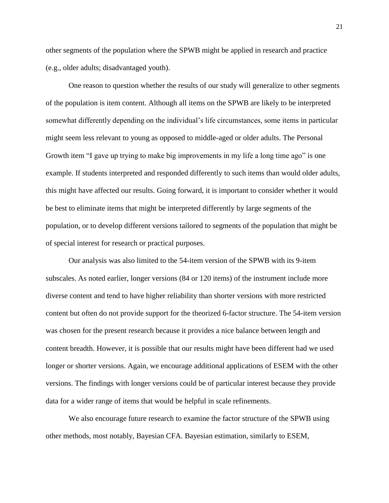other segments of the population where the SPWB might be applied in research and practice (e.g., older adults; disadvantaged youth).

One reason to question whether the results of our study will generalize to other segments of the population is item content. Although all items on the SPWB are likely to be interpreted somewhat differently depending on the individual's life circumstances, some items in particular might seem less relevant to young as opposed to middle-aged or older adults. The Personal Growth item "I gave up trying to make big improvements in my life a long time ago" is one example. If students interpreted and responded differently to such items than would older adults, this might have affected our results. Going forward, it is important to consider whether it would be best to eliminate items that might be interpreted differently by large segments of the population, or to develop different versions tailored to segments of the population that might be of special interest for research or practical purposes.

Our analysis was also limited to the 54-item version of the SPWB with its 9-item subscales. As noted earlier, longer versions (84 or 120 items) of the instrument include more diverse content and tend to have higher reliability than shorter versions with more restricted content but often do not provide support for the theorized 6-factor structure. The 54-item version was chosen for the present research because it provides a nice balance between length and content breadth. However, it is possible that our results might have been different had we used longer or shorter versions. Again, we encourage additional applications of ESEM with the other versions. The findings with longer versions could be of particular interest because they provide data for a wider range of items that would be helpful in scale refinements.

We also encourage future research to examine the factor structure of the SPWB using other methods, most notably, Bayesian CFA. Bayesian estimation, similarly to ESEM,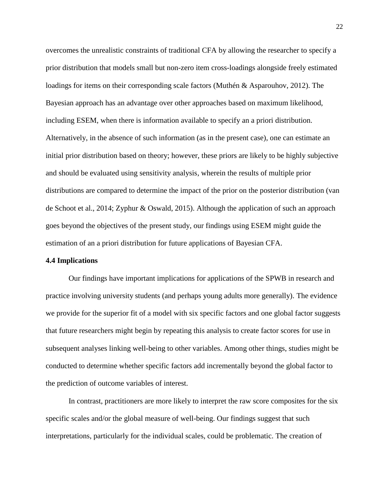overcomes the unrealistic constraints of traditional CFA by allowing the researcher to specify a prior distribution that models small but non-zero item cross-loadings alongside freely estimated loadings for items on their corresponding scale factors (Muthén & Asparouhov, 2012). The Bayesian approach has an advantage over other approaches based on maximum likelihood, including ESEM, when there is information available to specify an a priori distribution. Alternatively, in the absence of such information (as in the present case), one can estimate an initial prior distribution based on theory; however, these priors are likely to be highly subjective and should be evaluated using sensitivity analysis, wherein the results of multiple prior distributions are compared to determine the impact of the prior on the posterior distribution (van de Schoot et al., 2014; Zyphur & Oswald, 2015). Although the application of such an approach goes beyond the objectives of the present study, our findings using ESEM might guide the estimation of an a priori distribution for future applications of Bayesian CFA.

#### **4.4 Implications**

Our findings have important implications for applications of the SPWB in research and practice involving university students (and perhaps young adults more generally). The evidence we provide for the superior fit of a model with six specific factors and one global factor suggests that future researchers might begin by repeating this analysis to create factor scores for use in subsequent analyses linking well-being to other variables. Among other things, studies might be conducted to determine whether specific factors add incrementally beyond the global factor to the prediction of outcome variables of interest.

In contrast, practitioners are more likely to interpret the raw score composites for the six specific scales and/or the global measure of well-being. Our findings suggest that such interpretations, particularly for the individual scales, could be problematic. The creation of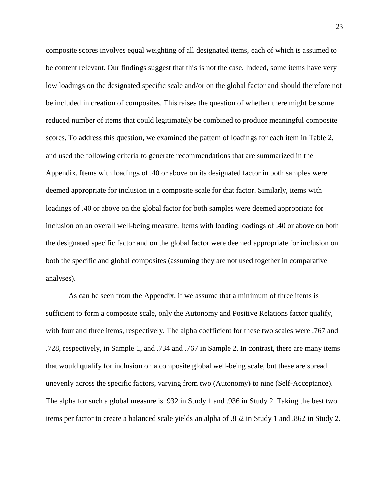composite scores involves equal weighting of all designated items, each of which is assumed to be content relevant. Our findings suggest that this is not the case. Indeed, some items have very low loadings on the designated specific scale and/or on the global factor and should therefore not be included in creation of composites. This raises the question of whether there might be some reduced number of items that could legitimately be combined to produce meaningful composite scores. To address this question, we examined the pattern of loadings for each item in Table 2, and used the following criteria to generate recommendations that are summarized in the Appendix. Items with loadings of .40 or above on its designated factor in both samples were deemed appropriate for inclusion in a composite scale for that factor. Similarly, items with loadings of .40 or above on the global factor for both samples were deemed appropriate for inclusion on an overall well-being measure. Items with loading loadings of .40 or above on both the designated specific factor and on the global factor were deemed appropriate for inclusion on both the specific and global composites (assuming they are not used together in comparative analyses).

As can be seen from the Appendix, if we assume that a minimum of three items is sufficient to form a composite scale, only the Autonomy and Positive Relations factor qualify, with four and three items, respectively. The alpha coefficient for these two scales were .767 and .728, respectively, in Sample 1, and .734 and .767 in Sample 2. In contrast, there are many items that would qualify for inclusion on a composite global well-being scale, but these are spread unevenly across the specific factors, varying from two (Autonomy) to nine (Self-Acceptance). The alpha for such a global measure is .932 in Study 1 and .936 in Study 2. Taking the best two items per factor to create a balanced scale yields an alpha of .852 in Study 1 and .862 in Study 2.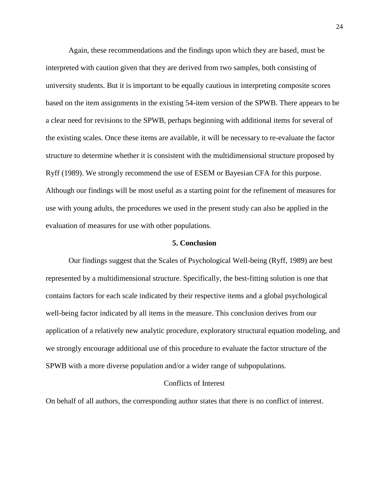Again, these recommendations and the findings upon which they are based, must be interpreted with caution given that they are derived from two samples, both consisting of university students. But it is important to be equally cautious in interpreting composite scores based on the item assignments in the existing 54-item version of the SPWB. There appears to be a clear need for revisions to the SPWB, perhaps beginning with additional items for several of the existing scales. Once these items are available, it will be necessary to re-evaluate the factor structure to determine whether it is consistent with the multidimensional structure proposed by Ryff (1989). We strongly recommend the use of ESEM or Bayesian CFA for this purpose. Although our findings will be most useful as a starting point for the refinement of measures for use with young adults, the procedures we used in the present study can also be applied in the evaluation of measures for use with other populations.

#### **5. Conclusion**

Our findings suggest that the Scales of Psychological Well-being (Ryff, 1989) are best represented by a multidimensional structure. Specifically, the best-fitting solution is one that contains factors for each scale indicated by their respective items and a global psychological well-being factor indicated by all items in the measure. This conclusion derives from our application of a relatively new analytic procedure, exploratory structural equation modeling, and we strongly encourage additional use of this procedure to evaluate the factor structure of the SPWB with a more diverse population and/or a wider range of subpopulations.

#### Conflicts of Interest

On behalf of all authors, the corresponding author states that there is no conflict of interest.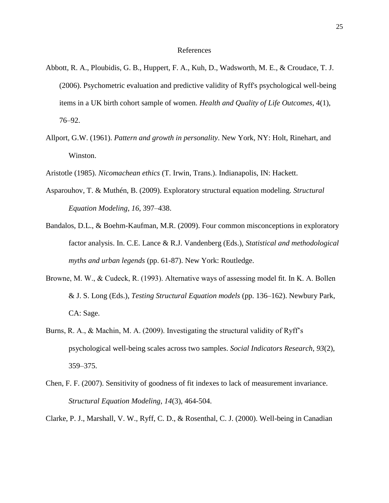#### References

- Abbott, R. A., Ploubidis, G. B., Huppert, F. A., Kuh, D., Wadsworth, M. E., & Croudace, T. J. (2006). Psychometric evaluation and predictive validity of Ryff's psychological well-being items in a UK birth cohort sample of women. *Health and Quality of Life Outcomes*, 4(1), 76–92.
- Allport, G.W. (1961). *Pattern and growth in personality*. New York, NY: Holt, Rinehart, and Winston.
- Aristotle (1985). *Nicomachean ethics* (T. Irwin, Trans.). Indianapolis, IN: Hackett.
- Asparouhov, T. & Muthén, B. (2009). Exploratory structural equation modeling. *Structural Equation Modeling*, *16*, 397–438.
- Bandalos, D.L., & Boehm-Kaufman, M.R. (2009). Four common misconceptions in exploratory factor analysis. In. C.E. Lance & R.J. Vandenberg (Eds.), *Statistical and methodological myths and urban legends* (pp. 61-87). New York: Routledge.
- Browne, M. W., & Cudeck, R. (1993). Alternative ways of assessing model fit. In K. A. Bollen & J. S. Long (Eds.), *Testing Structural Equation models* (pp. 136–162). Newbury Park, CA: Sage.
- Burns, R. A., & Machin, M. A. (2009). Investigating the structural validity of Ryff's psychological well-being scales across two samples. *Social Indicators Research*, *93*(2), 359–375.
- Chen, F. F. (2007). Sensitivity of goodness of fit indexes to lack of measurement invariance. *Structural Equation Modeling*, *14*(3), 464-504.
- Clarke, P. J., Marshall, V. W., Ryff, C. D., & Rosenthal, C. J. (2000). Well-being in Canadian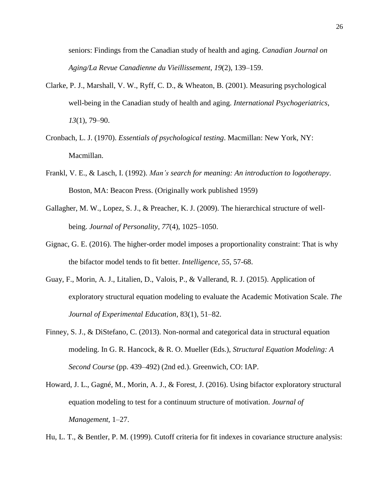seniors: Findings from the Canadian study of health and aging. *Canadian Journal on Aging/La Revue Canadienne du Vieillissement*, *19*(2), 139–159.

- Clarke, P. J., Marshall, V. W., Ryff, C. D., & Wheaton, B. (2001). Measuring psychological well-being in the Canadian study of health and aging. *International Psychogeriatrics*, *13*(1), 79–90.
- Cronbach, L. J. (1970). *Essentials of psychological testing*. Macmillan: New York, NY: Macmillan.
- Frankl, V. E., & Lasch, I. (1992). *Man's search for meaning: An introduction to logotherapy*. Boston, MA: Beacon Press. (Originally work published 1959)
- Gallagher, M. W., Lopez, S. J., & Preacher, K. J. (2009). The hierarchical structure of wellbeing. *Journal of Personality*, *77*(4), 1025–1050.
- Gignac, G. E. (2016). The higher-order model imposes a proportionality constraint: That is why the bifactor model tends to fit better. *Intelligence*, *55*, 57-68.
- Guay, F., Morin, A. J., Litalien, D., Valois, P., & Vallerand, R. J. (2015). Application of exploratory structural equation modeling to evaluate the Academic Motivation Scale. *The Journal of Experimental Education*, 83(1), 51–82.
- Finney, S. J., & DiStefano, C. (2013). Non-normal and categorical data in structural equation modeling. In G. R. Hancock, & R. O. Mueller (Eds.), *Structural Equation Modeling: A Second Course* (pp. 439–492) (2nd ed.). Greenwich, CO: IAP.
- Howard, J. L., Gagné, M., Morin, A. J., & Forest, J. (2016). Using bifactor exploratory structural equation modeling to test for a continuum structure of motivation. *Journal of Management*, 1–27.

Hu, L. T., & Bentler, P. M. (1999). Cutoff criteria for fit indexes in covariance structure analysis: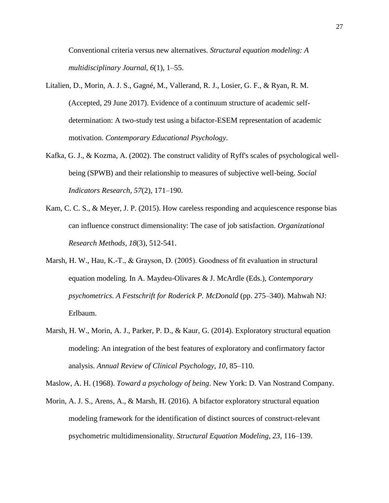Conventional criteria versus new alternatives. *Structural equation modeling: A multidisciplinary Journal*, *6*(1), 1–55.

- Litalien, D., Morin, A. J. S., Gagné, M., Vallerand, R. J., Losier, G. F., & Ryan, R. M. (Accepted, 29 June 2017). Evidence of a continuum structure of academic selfdetermination: A two-study test using a bifactor-ESEM representation of academic motivation. *Contemporary Educational Psychology*.
- Kafka, G. J., & Kozma, A. (2002). The construct validity of Ryff's scales of psychological wellbeing (SPWB) and their relationship to measures of subjective well-being. *Social Indicators Research*, *57*(2), 171–190.
- Kam, C. C. S., & Meyer, J. P. (2015). How careless responding and acquiescence response bias can influence construct dimensionality: The case of job satisfaction. *Organizational Research Methods*, *18*(3), 512-541.
- Marsh, H. W., Hau, K.-T., & Grayson, D. (2005). Goodness of fit evaluation in structural equation modeling. In A. Maydeu-Olivares & J. McArdle (Eds.), *Contemporary psychometrics. A Festschrift for Roderick P. McDonald* (pp. 275–340). Mahwah NJ: Erlbaum.
- Marsh, H. W., Morin, A. J., Parker, P. D., & Kaur, G. (2014). Exploratory structural equation modeling: An integration of the best features of exploratory and confirmatory factor analysis. *Annual Review of Clinical Psychology*, *10*, 85–110.

Maslow, A. H. (1968). *Toward a psychology of being*. New York: D. Van Nostrand Company.

Morin, A. J. S., Arens, A., & Marsh, H. (2016). A bifactor exploratory structural equation modeling framework for the identification of distinct sources of construct-relevant psychometric multidimensionality. *Structural Equation Modeling*, *23*, 116–139.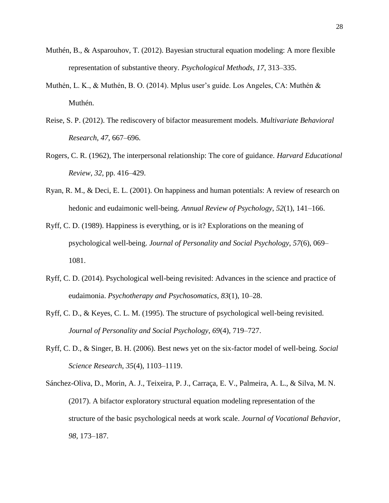- Muthén, B., & Asparouhov, T. (2012). Bayesian structural equation modeling: A more flexible representation of substantive theory. *Psychological Methods*, *17*, 313–335.
- Muthén, L. K., & Muthén, B. O. (2014). Mplus user's guide. Los Angeles, CA: Muthén & Muthén.
- Reise, S. P. (2012). The rediscovery of bifactor measurement models. *Multivariate Behavioral Research*, *47*, 667–696.
- Rogers, C. R. (1962), The interpersonal relationship: The core of guidance. *Harvard Educational Review*, *32*, pp. 416–429.
- Ryan, R. M., & Deci, E. L. (2001). On happiness and human potentials: A review of research on hedonic and eudaimonic well-being. *Annual Review of Psychology*, *52*(1), 141–166.
- Ryff, C. D. (1989). Happiness is everything, or is it? Explorations on the meaning of psychological well-being. *Journal of Personality and Social Psychology*, *57*(6), 069– 1081.
- Ryff, C. D. (2014). Psychological well-being revisited: Advances in the science and practice of eudaimonia. *Psychotherapy and Psychosomatics*, *83*(1), 10–28.
- Ryff, C. D., & Keyes, C. L. M. (1995). The structure of psychological well-being revisited. *Journal of Personality and Social Psychology*, *69*(4), 719–727.
- Ryff, C. D., & Singer, B. H. (2006). Best news yet on the six-factor model of well-being. *Social Science Research*, *35*(4), 1103–1119.
- Sánchez-Oliva, D., Morin, A. J., Teixeira, P. J., Carraça, E. V., Palmeira, A. L., & Silva, M. N. (2017). A bifactor exploratory structural equation modeling representation of the structure of the basic psychological needs at work scale. *Journal of Vocational Behavior*, *98*, 173–187.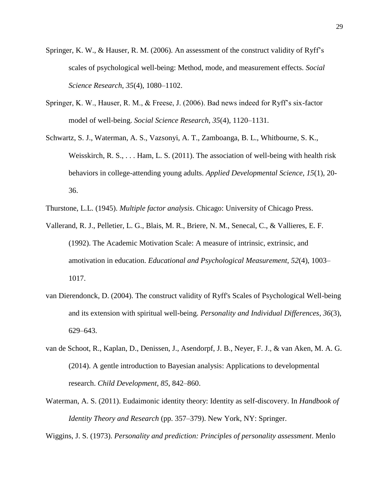- Springer, K. W., & Hauser, R. M. (2006). An assessment of the construct validity of Ryff's scales of psychological well-being: Method, mode, and measurement effects. *Social Science Research*, *35*(4), 1080–1102.
- Springer, K. W., Hauser, R. M., & Freese, J. (2006). Bad news indeed for Ryff's six-factor model of well-being. *Social Science Research*, *35*(4), 1120–1131.
- Schwartz, S. J., Waterman, A. S., Vazsonyi, A. T., Zamboanga, B. L., Whitbourne, S. K., Weisskirch, R. S., . . . Ham, L. S. (2011). The association of well-being with health risk behaviors in college-attending young adults. *Applied Developmental Science*, *15*(1), 20- 36.
- Thurstone, L.L. (1945). *Multiple factor analysis*. Chicago: University of Chicago Press.
- Vallerand, R. J., Pelletier, L. G., Blais, M. R., Briere, N. M., Senecal, C., & Vallieres, E. F. (1992). The Academic Motivation Scale: A measure of intrinsic, extrinsic, and amotivation in education. *Educational and Psychological Measurement*, *52*(4), 1003– 1017.
- van Dierendonck, D. (2004). The construct validity of Ryff's Scales of Psychological Well-being and its extension with spiritual well-being. *Personality and Individual Differences*, *36*(3), 629–643.
- van de Schoot, R., Kaplan, D., Denissen, J., Asendorpf, J. B., Neyer, F. J., & van Aken, M. A. G. (2014). A gentle introduction to Bayesian analysis: Applications to developmental research. *Child Development*, *85*, 842–860.
- Waterman, A. S. (2011). Eudaimonic identity theory: Identity as self-discovery. In *Handbook of Identity Theory and Research* (pp. 357–379). New York, NY: Springer.

Wiggins, J. S. (1973). *Personality and prediction: Principles of personality assessment*. Menlo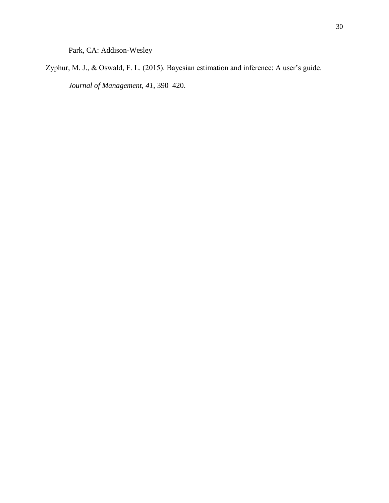Park, CA: Addison-Wesley

Zyphur, M. J., & Oswald, F. L. (2015). Bayesian estimation and inference: A user's guide. *Journal of Management*, *41*, 390–420.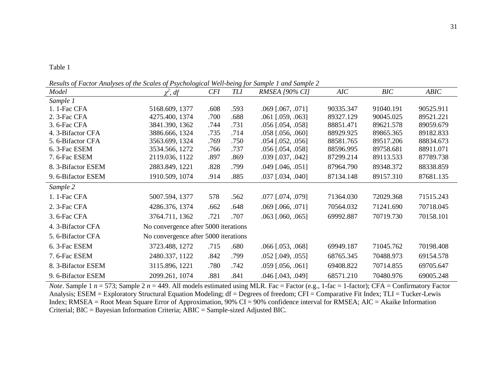*Results of Factor Analyses of the Scales of Psychological Well-being for Sample 1 and Sample 2* 

|                    |                                      |            | $\cdots$   |                            |           |           |           |
|--------------------|--------------------------------------|------------|------------|----------------------------|-----------|-----------|-----------|
| Model              | $\chi^2$ , df                        | <b>CFI</b> | <b>TLI</b> | <b>RMSEA [90% CI]</b>      | AIC       | BIC       | ABIC      |
| Sample 1           |                                      |            |            |                            |           |           |           |
| 1. 1-Fac CFA       | 5168.609, 1377                       | .608       | .593       | $.069$ [.067, .071]        | 90335.347 | 91040.191 | 90525.911 |
| 2. 3-Fac CFA       | 4275.400, 1374                       | .700       | .688       | $.061$ [.059, .063]        | 89327.129 | 90045.025 | 89521.221 |
| 3.6-Fac CFA        | 3841.390, 1362                       | .744       | .731       | $.056$ [ $.054$ , $.058$ ] | 88851.471 | 89621.578 | 89059.679 |
| 4. 3-Bifactor CFA  | 3886.666, 1324                       | .735       | .714       | $.058$ [.056, .060]        | 88929.925 | 89865.365 | 89182.833 |
| 5. 6-Bifactor CFA  | 3563.699, 1324                       | .769       | .750       | $.054$ [.052, .056]        | 88581.765 | 89517.206 | 88834.673 |
| 6. 3-Fac ESEM      | 3534.566, 1272                       | .766       | .737       | $.056$ [ $.054$ , $.058$ ] | 88596.995 | 89758.681 | 88911.071 |
| 7.6-Fac ESEM       | 2119.036, 1122                       | .897       | .869       | .039 [.037, .042]          | 87299.214 | 89113.533 | 87789.738 |
| 8. 3-Bifactor ESEM | 2883.849, 1221                       | .828       | .799       | $.049$ [ $.046$ , $.051$ ] | 87964.790 | 89348.372 | 88338.859 |
| 9. 6-Bifactor ESEM | 1910.509, 1074                       | .914       | .885       | $.037$ [ $.034$ , $.040$ ] | 87134.148 | 89157.310 | 87681.135 |
| Sample 2           |                                      |            |            |                            |           |           |           |
| 1. 1-Fac CFA       | 5007.594, 1377                       | 578        | .562       | .077 [.074, .079]          | 71364.030 | 72029.368 | 71515.243 |
| 2. 3-Fac CFA       | 4286.376, 1374                       | .662       | .648       | $.069$ [.066, .071]        | 70564.032 | 71241.690 | 70718.045 |
| 3.6-Fac CFA        | 3764.711, 1362                       | .721       | .707       | $.063$ [.060, .065]        | 69992.887 | 70719.730 | 70158.101 |
| 4. 3-Bifactor CFA  | No convergence after 5000 iterations |            |            |                            |           |           |           |
| 5. 6-Bifactor CFA  | No convergence after 5000 iterations |            |            |                            |           |           |           |
| 6. 3-Fac ESEM      | 3723.488, 1272                       | .715       | .680       | $.066$ [.053, .068]        | 69949.187 | 71045.762 | 70198.408 |
| 7.6-Fac ESEM       | 2480.337, 1122                       | .842       | .799       | $.052$ [.049, .055]        | 68765.345 | 70488.973 | 69154.578 |
| 8. 3-Bifactor ESEM | 3115.896, 1221                       | .780       | .742       | $.059$ [.056, .061]        | 69408.822 | 70714.855 | 69705.647 |
| 9. 6-Bifactor ESEM | 2099.261, 1074                       | .881       | .841       | .046 [.043, .049]          | 68571.210 | 70480.976 | 69005.248 |

*Note*. Sample 1  $n = 573$ ; Sample 2  $n = 449$ . All models estimated using MLR. Fac = Factor (e.g., 1-fac = 1-factor); CFA = Confirmatory Factor Analysis; ESEM = Exploratory Structural Equation Modeling; df = Degrees of freedom; CFI = Comparative Fit Index; TLI = Tucker-Lewis Index; RMSEA = Root Mean Square Error of Approximation, 90% CI = 90% confidence interval for RMSEA; AIC = Akaike Information Criterial; BIC = Bayesian Information Criteria; ABIC = Sample-sized Adjusted BIC.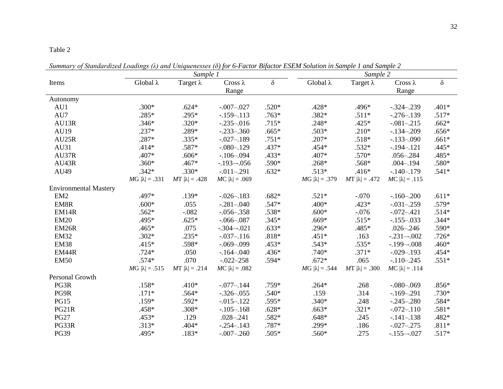#### Table 2

*Sample 1 Sample 2* Items Global λ Target λ Cross λ Range δ Global λ Target λ Cross λ Range δ Autonomy AU1 .300\* .624\* -.007–.027 .520\* .428\* .496\* -.324–.239 .401\* AU7 .285\* .295\* -.159–.113 .763\* .382\* .511\* -.276–.139 .517\* AU13R .346\* .320\* -.235–.016 .715\* .248\* .425\* -.081–.215 .662\* AU19 .237\* .289\* -.233–.360 .665\* .503\* .210\* -.134–.209 .656\* AU25R .287\* .335\* -.027–.189 .751\* .207\* .518\* -.133–.090 .661\* AU31 .414\* .587\* -.080–.129 .437\* .454\* .532\* -.194–.121 .445\* AU37R .407\* .606\* -.106–.094 .433\* .407\* .570\* .056–.284 .485\* AU43R .360\* .467\* -.193–-.056 .590\* .268\* .568\* .004–.194 .580\* AU49 .342\* .330\* -.011–.291 .632\* .513\* .416\* -.140–.179 .541\* *M*G  $|\lambda| = .331$  *M*T  $|\lambda| = .428$  *MC*  $|\lambda| = .069$  *MG*  $|\lambda| = .379$  *MT*  $|\lambda| = .472$  *MC*  $|\lambda| = .115$ Environmental Mastery EM2 .497\* .139\* -.026–.183 .682\* .521\* -.070 -.160–.200 .611\* EM8R .600\* .055 -.281–.040 .547\* .400\* .423\* -.031–.259 .579\* EM14R .562\* -.082 -.056-.358 .538\* .600\* -.076 -.072-.421 .514\* EM20 .495\* .625\* -.066–.087 .345\* .669\* .515\* -.155–.033 .344\* EM26R .465\* .075 -.304–-.021 .633\* .296\* .485\* .026–.246 .590\* EM32 .302\* .235\* -.037–.116 .818\* .451\* .163 -.231–-.002 .726\* EM38 .415\* .598\* -.069–.099 .453\* .543\* .535\* -.199–-.008 .460\* EM44R .724\* .050 -.164–.040 .436\* .740\* .371\* -.029–.193 .454\* EM50 .574\* .070 .022–258 .594\* .672\* .065 .110–.245 .551\* *M*G  $|\lambda| = .515$  *M*T  $|\lambda| = .214$  *MC*  $|\lambda| = .082$  *MG*  $|\lambda| = .544$  *MT*  $|\lambda| = .300$  *MC*  $|\lambda| = .114$ Personal Growth PG3R .158\* .410\* -.077–.144 .759\* .264\* .268 -.080–.069 .856\* PG9R .171\* .564\* -.326–.055 .540\* .159 .314 -.169–.291 .730\* PG15 .159\* .592\* -.015–.122 .595\* .340\* .248 -.245–.280 .584\* PG21R .458\* .308\* -.105–.168 .628\* .663\* .321\* -.072–.110 .581\* PG27 .453\* .129 .028–.241 .582\* .648\* .245 -.141–.138 .482\* PG33R .313\* .404\* -.254–.143 .787\* .299\* .186 -.027–.275 .811\* PG39 .495\* .183\* -.007–.260 .505\* .560\* .275 -.155–-.027 .517\*

*Summary of Standardized Loadings (λ) and Uniquenesses (δ) for 6-Factor Bifactor ESEM Solution in Sample 1 and Sample 2*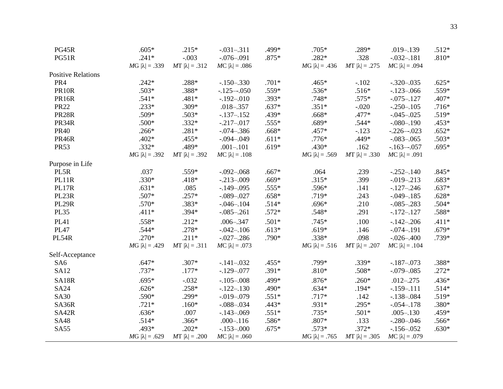| PG45R                     | $.605*$               | $.215*$               | $-.031-.311$          | .499*   | $.705*$               | $.289*$               | $.019 - .139$         | $.512*$ |
|---------------------------|-----------------------|-----------------------|-----------------------|---------|-----------------------|-----------------------|-----------------------|---------|
| PG51R                     | $.241*$               | $-.003$               | $-.076 - .091$        | $.875*$ | $.282*$               | .328                  | $-.032-.181$          | $.810*$ |
|                           | $MG  \lambda  = .339$ | $MT  \lambda  = .312$ | $MC  \lambda  = .086$ |         | $MG  \lambda  = .436$ | $MT  \lambda  = .275$ | $MC  \lambda  = .094$ |         |
| <b>Positive Relations</b> |                       |                       |                       |         |                       |                       |                       |         |
| PR4                       | $.242*$               | .288*                 | $-150 - 330$          | $.701*$ | $.465*$               | $-.102$               | $-.320-.035$          | $.625*$ |
| <b>PR10R</b>              | $.503*$               | .388*                 | $-.125-.050$          | $.559*$ | $.536*$               | $.516*$               | $-123 - 066$          | .559*   |
| <b>PR16R</b>              | $.541*$               | $.481*$               | $-.192-.010$          | $.393*$ | $.748*$               | $.575*$               | $-.075-.127$          | $.407*$ |
| <b>PR22</b>               | $.233*$               | $.309*$               | $.018 - .357$         | $.637*$ | $.351*$               | $-.020$               | $-.250-.105$          | $.716*$ |
| <b>PR28R</b>              | $.509*$               | $.503*$               | $-137 - 152$          | $.439*$ | $.668*$               | $.477*$               | $-.045 - .025$        | $.519*$ |
| PR34R                     | $.500*$               | $.332*$               | $-.217-.017$          | $.555*$ | $.689*$               | $.544*$               | $-.080-.190$          | $.453*$ |
| <b>PR40</b>               | $.266*$               | $.281*$               | $-.074-.386$          | $.668*$ | $.457*$               | $-123$                | $-.226-.023$          | $.652*$ |
| <b>PR46R</b>              | $.402*$               | $.455*$               | $-.094-.049$          | $.611*$ | $.776*$               | .449*                 | $-.083-.065$          | $.503*$ |
| <b>PR53</b>               | $.332*$               | .489*                 | $.001 - .101$         | $.619*$ | $.430*$               | .162                  | $-163 - 057$          | $.695*$ |
|                           | $MG  \lambda  = .392$ | $MT  \lambda  = .392$ | $MC  \lambda  = .108$ |         | $MG  \lambda  = .569$ | $MT  \lambda  = .330$ | $MC  \lambda  = .091$ |         |
| Purpose in Life           |                       |                       |                       |         |                       |                       |                       |         |
| PL5R                      | .037                  | .559*                 | $-.092 - .068$        | $.667*$ | .064                  | .239                  | $-.252-.140$          | $.845*$ |
| PL11R                     | $.330*$               | $.418*$               | $-.213-.009$          | $.669*$ | $.315*$               | .399                  | $-.019-.213$          | $.683*$ |
| PL17R                     | $.631*$               | .085                  | $-.149-.095$          | $.555*$ | .596*                 | .141                  | $-127 - 246$          | $.637*$ |
| PL23R                     | .507*                 | $.257*$               | $-.089-.027$          | $.658*$ | $.719*$               | .243                  | $-.049-.185$          | $.628*$ |
| <b>PL29R</b>              | $.570*$               | .383*                 | $-.046 - .104$        | $.514*$ | $.696*$               | .210                  | $-.085-.283$          | $.504*$ |
| <b>PL35</b>               | $.411*$               | $.394*$               | $-.085-.261$          | $.572*$ | $.548*$               | .291                  | $-172 - 127$          | .588*   |
| <b>PL41</b>               | $.558*$               | $.212*$               | $.006 - .347$         | $.501*$ | $.745*$               | .100                  | $-142 - 206$          | $.411*$ |
| <b>PL47</b>               | $.544*$               | $.278*$               | $-.042-.106$          | $.613*$ | $.619*$               | .146                  | $-.074-.191$          | $.679*$ |
| PL54R                     | $.270*$               | $.211*$               | $-.027-.286$          | $.790*$ | $.338*$               | .098                  | $-.026 - .400$        | .739*   |
|                           | $MG  \lambda  = .429$ | $MT  \lambda  = .311$ | $MC  \lambda  = .073$ |         | $MG  \lambda  = .516$ | $MT  \lambda  = .207$ | $MC  \lambda  = .104$ |         |
| Self-Acceptance           |                       |                       |                       |         |                       |                       |                       |         |
| SA <sub>6</sub>           | $.647*$               | $.307*$               | $-.141-.032$          | $.455*$ | .799*                 | $.339*$               | $-187 - 073$          | .388*   |
| <b>SA12</b>               | $.737*$               | $.177*$               | $-.129-.077$          | $.391*$ | $.810*$               | $.508*$               | $-.079-.085$          | $.272*$ |
| SA18R                     | $.695*$               | $-.032$               | $-.105-.008$          | .499*   | $.876*$               | $.260*$               | $.012 - .275$         | $.436*$ |
| <b>SA24</b>               | $.626*$               | $.258*$               | $-122-130$            | .490*   | $.634*$               | $.194*$               | $-159 - 111$          | $.514*$ |
| <b>SA30</b>               | .590*                 | .299*                 | $-.019-.079$          | $.551*$ | $.717*$               | .142                  | $-.138-.084$          | $.519*$ |
| SA36R                     | $.721*$               | $.160*$               | $-.088-.034$          | $.443*$ | .931*                 | $.295*$               | $-.054-.178$          | .380*   |
| SA42R                     | $.636*$               | .007                  | $-143 - 069$          | $.551*$ | $.735*$               | $.501*$               | $.005 - .130$         | .459*   |
| <b>SA48</b>               | $.514*$               | $.366*$               | $.000 - .116$         | .586*   | $.807*$               | .133                  | $-.280-.046$          | $.566*$ |
| <b>SA55</b>               | $.493*$               | $.202*$               | $-.153-.000$          | $.675*$ | $.573*$               | $.372*$               | $-156 - 052$          | $.630*$ |
|                           | $MG  \lambda  = .629$ | $MT  \lambda  = .200$ | $MC  \lambda  = .060$ |         | $MG  \lambda  = .765$ | $MT  \lambda  = .305$ | $MC  \lambda  = .079$ |         |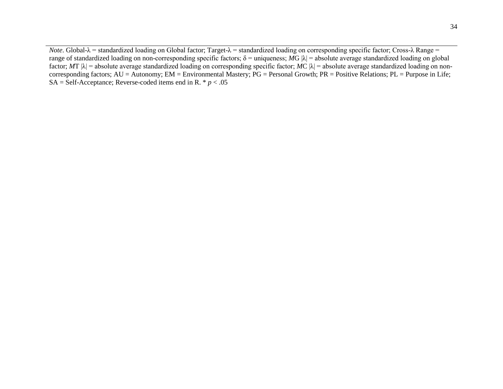*Note*. Global-λ = standardized loading on Global factor; Target-λ = standardized loading on corresponding specific factor; Cross-λ Range = range of standardized loading on non-corresponding specific factors;  $δ =$  uniqueness;  $MG |λ| =$  absolute average standardized loading on global factor;  $MT |\lambda|$  = absolute average standardized loading on corresponding specific factor;  $MC |\lambda|$  = absolute average standardized loading on noncorresponding factors; AU = Autonomy; EM = Environmental Mastery; PG = Personal Growth; PR = Positive Relations; PL = Purpose in Life;  $SA = \text{Self-Acceptance}$ ; Reverse-coded items end in R. \*  $p < .05$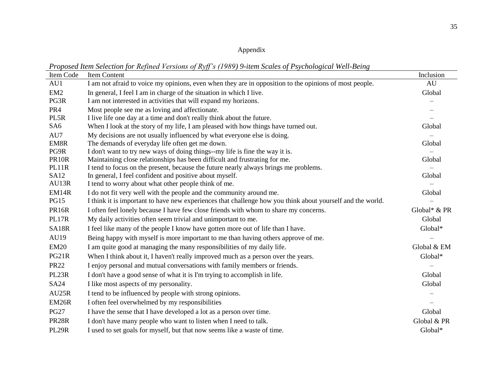# Appendix

*Proposed Item Selection for Refined Versions of Ryff's (1989) 9-item Scales of Psychological Well-Being*

| Item Code       | Item Content                                                                                               | Inclusion    |
|-----------------|------------------------------------------------------------------------------------------------------------|--------------|
| AU1             | I am not afraid to voice my opinions, even when they are in opposition to the opinions of most people.     | AU           |
| EM <sub>2</sub> | In general, I feel I am in charge of the situation in which I live.                                        | Global       |
| PG3R            | I am not interested in activities that will expand my horizons.                                            |              |
| PR <sub>4</sub> | Most people see me as loving and affectionate.                                                             |              |
| PL5R            | I live life one day at a time and don't really think about the future.                                     |              |
| SA <sub>6</sub> | When I look at the story of my life, I am pleased with how things have turned out.                         | Global       |
| AU7             | My decisions are not usually influenced by what everyone else is doing.                                    |              |
| EM8R            | The demands of everyday life often get me down.                                                            | Global       |
| PG9R            | I don't want to try new ways of doing things--my life is fine the way it is.                               |              |
| <b>PR10R</b>    | Maintaining close relationships has been difficult and frustrating for me.                                 | Global       |
| PL11R           | I tend to focus on the present, because the future nearly always brings me problems.                       |              |
| <b>SA12</b>     | In general, I feel confident and positive about myself.                                                    | Global       |
| AU13R           | I tend to worry about what other people think of me.                                                       |              |
| EM14R           | I do not fit very well with the people and the community around me.                                        | Global       |
| <b>PG15</b>     | I think it is important to have new experiences that challenge how you think about yourself and the world. |              |
| <b>PR16R</b>    | I often feel lonely because I have few close friends with whom to share my concerns.                       | Global* & PR |
| PL17R           | My daily activities often seem trivial and unimportant to me.                                              | Global       |
| SA18R           | I feel like many of the people I know have gotten more out of life than I have.                            | Global*      |
| AU19            | Being happy with myself is more important to me than having others approve of me.                          |              |
| <b>EM20</b>     | I am quite good at managing the many responsibilities of my daily life.                                    | Global & EM  |
| PG21R           | When I think about it, I haven't really improved much as a person over the years.                          | Global*      |
| <b>PR22</b>     | I enjoy personal and mutual conversations with family members or friends.                                  |              |
| PL23R           | I don't have a good sense of what it is I'm trying to accomplish in life.                                  | Global       |
| <b>SA24</b>     | I like most aspects of my personality.                                                                     | Global       |
| AU25R           | I tend to be influenced by people with strong opinions.                                                    |              |
| <b>EM26R</b>    | I often feel overwhelmed by my responsibilities                                                            |              |
| <b>PG27</b>     | I have the sense that I have developed a lot as a person over time.                                        | Global       |
| <b>PR28R</b>    | I don't have many people who want to listen when I need to talk.                                           | Global & PR  |
| <b>PL29R</b>    | I used to set goals for myself, but that now seems like a waste of time.                                   | Global*      |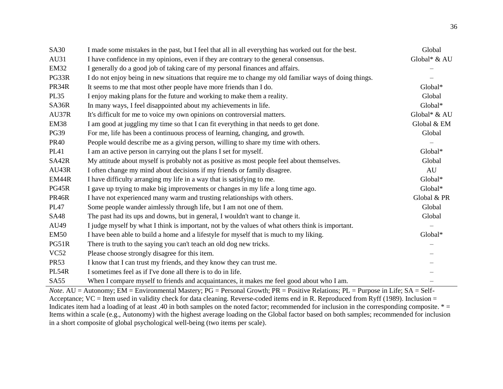| <b>SA30</b>      | I made some mistakes in the past, but I feel that all in all everything has worked out for the best.   | Global       |
|------------------|--------------------------------------------------------------------------------------------------------|--------------|
| AU31             | I have confidence in my opinions, even if they are contrary to the general consensus.                  | Global* & AU |
| <b>EM32</b>      | I generally do a good job of taking care of my personal finances and affairs.                          |              |
| PG33R            | I do not enjoy being in new situations that require me to change my old familiar ways of doing things. |              |
| PR34R            | It seems to me that most other people have more friends than I do.                                     | Global*      |
| <b>PL35</b>      | I enjoy making plans for the future and working to make them a reality.                                | Global       |
| SA36R            | In many ways, I feel disappointed about my achievements in life.                                       | Global*      |
| AU37R            | It's difficult for me to voice my own opinions on controversial matters.                               | Global* & AU |
| EM38             | I am good at juggling my time so that I can fit everything in that needs to get done.                  | Global & EM  |
| <b>PG39</b>      | For me, life has been a continuous process of learning, changing, and growth.                          | Global       |
| <b>PR40</b>      | People would describe me as a giving person, willing to share my time with others.                     |              |
| <b>PL41</b>      | I am an active person in carrying out the plans I set for myself.                                      | Global*      |
| SA42R            | My attitude about myself is probably not as positive as most people feel about themselves.             | Global       |
| AU43R            | I often change my mind about decisions if my friends or family disagree.                               | AU           |
| EM44R            | I have difficulty arranging my life in a way that is satisfying to me.                                 | Global*      |
| PG45R            | I gave up trying to make big improvements or changes in my life a long time ago.                       | Global*      |
| <b>PR46R</b>     | I have not experienced many warm and trusting relationships with others.                               | Global & PR  |
| <b>PL47</b>      | Some people wander aimlessly through life, but I am not one of them.                                   | Global       |
| <b>SA48</b>      | The past had its ups and downs, but in general, I wouldn't want to change it.                          | Global       |
| AU49             | I judge myself by what I think is important, not by the values of what others think is important.      |              |
| <b>EM50</b>      | I have been able to build a home and a lifestyle for myself that is much to my liking.                 | Global*      |
| PG51R            | There is truth to the saying you can't teach an old dog new tricks.                                    |              |
| VC52             | Please choose strongly disagree for this item.                                                         |              |
| <b>PR53</b>      | I know that I can trust my friends, and they know they can trust me.                                   |              |
| <b>PL54R</b>     | I sometimes feel as if I've done all there is to do in life.                                           |              |
| SA <sub>55</sub> | When I compare myself to friends and acquaintances, it makes me feel good about who I am.              |              |

*Note*. AU = Autonomy; EM = Environmental Mastery; PG = Personal Growth; PR = Positive Relations; PL = Purpose in Life; SA = Self-Acceptance;  $VC =$  Item used in validity check for data cleaning. Reverse-coded items end in R. Reproduced from Ryff (1989). Inclusion = Indicates item had a loading of at least .40 in both samples on the noted factor; recommended for inclusion in the corresponding composite.  $* =$ Items within a scale (e.g., Autonomy) with the highest average loading on the Global factor based on both samples; recommended for inclusion in a short composite of global psychological well-being (two items per scale).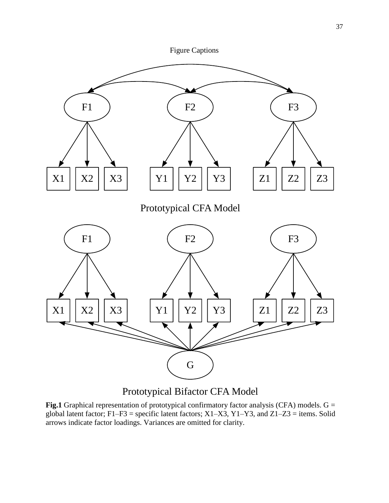

Prototypical Bifactor CFA Model

**Fig.1** Graphical representation of prototypical confirmatory factor analysis (CFA) models. G = global latent factor; F1–F3 = specific latent factors; X1–X3, Y1–Y3, and Z1–Z3 = items. Solid arrows indicate factor loadings. Variances are omitted for clarity.